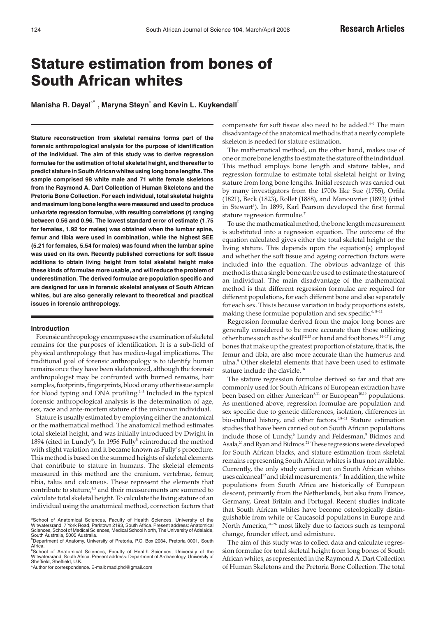# Stature estimation from bones of South African whites

 $\bm{\mathsf{Manisha\,R.\,Dayal}^\circ}$  , Maryna Steyn $^\circ$  and Kevin L. Kuykendall $^\circ$ 

**Stature reconstruction from skeletal remains forms part of the forensic anthropological analysis for the purpose of identification of the individual. The aim of this study was to derive regression formulae for the estimation of total skeletal height, and thereafter to predict stature in South African whites using long bone lengths. The sample comprised 98 white male and 71 white female skeletons from the Raymond A. Dart Collection of Human Skeletons and the Pretoria Bone Collection. For each individual, total skeletal heights and maximum long bone lengths were measured and used to produce univariate regression formulae, with resulting correlations (***r***) ranging between 0.56 and 0.96. The lowest standard error of estimate (1.75 for females, 1.92 for males) was obtained when the lumbar spine, femur and tibia were used in combination, while the highest SEE (5.21 for females, 5.54 for males) was found when the lumbar spine was used on its own. Recently published corrections for soft tissue additions to obtain living height from total skeletal height make these kinds of formulae more usable, and will reduce the problem of underestimation. The derived formulae are population specific and are designed for use in forensic skeletal analyses of South African whites, but are also generally relevant to theoretical and practical issues in forensic anthropology.**

#### **Introduction**

Forensic anthropology encompasses the examination of skeletal remains for the purposes of identification. It is a sub-field of physical anthropology that has medico-legal implications. The traditional goal of forensic anthropology is to identify human remains once they have been skeletonized, although the forensic anthropologist may be confronted with burned remains, hair samples, footprints, fingerprints, blood or any other tissue sample for blood typing and DNA profiling.<sup>1-3</sup> Included in the typical forensic anthropological analysis is the determination of age, sex, race and ante-mortem stature of the unknown individual.

Stature is usually estimated by employing either the anatomical or the mathematical method. The anatomical method estimates total skeletal height, and was initially introduced by Dwight in 1894 (cited in Lundy<sup>4</sup>). In 1956 Fully<sup>5</sup> reintroduced the method with slight variation and it became known as Fully's procedure. This method is based on the summed heights of skeletal elements that contribute to stature in humans. The skeletal elements measured in this method are the cranium, vertebrae, femur, tibia, talus and calcaneus. These represent the elements that contribute to stature,<sup>4,5</sup> and their measurements are summed to calculate total skeletal height. To calculate the living stature of an individual using the anatomical method, correction factors that

\*Author for correspondence. E-mail: mad.phd@gmail.com

compensate for soft tissue also need to be added. $4-6$  The main disadvantage of the anatomical method is that a nearly complete skeleton is needed for stature estimation.

The mathematical method, on the other hand, makes use of one or more bone lengths to estimate the stature of the individual. This method employs bone length and stature tables, and regression formulae to estimate total skeletal height or living stature from long bone lengths. Initial research was carried out by many investigators from the 1700s like Sue (1755), Orfila (1821), Beck (1823), Rollet (1888), and Manouvrier (1893) (cited in Stewart<sup>1</sup>). In 1899, Karl Pearson developed the first formal stature regression formulae.7

To use the mathematical method, the bone length measurement is substituted into a regression equation. The outcome of the equation calculated gives either the total skeletal height or the living stature. This depends upon the equation(s) employed and whether the soft tissue and ageing correction factors were included into the equation. The obvious advantage of this method is that a single bone can be used to estimate the stature of an individual. The main disadvantage of the mathematical method is that different regression formulae are required for different populations, for each different bone and also separately for each sex. This is because variation in body proportions exists, making these formulae population and sex specific.<sup>6, 8-11</sup>

Regression formulae derived from the major long bones are generally considered to be more accurate than those utilizing other bones such as the skull<sup>12,13</sup> or hand and foot bones.<sup>14-17</sup> Long bones that make up the greatest proportion of stature, that is, the femur and tibia, are also more accurate than the humerus and ulna.<sup>9</sup> Other skeletal elements that have been used to estimate stature include the clavicle.<sup>18</sup>

The stature regression formulae derived so far and that are commonly used for South Africans of European extraction have been based on either American<sup>8,11</sup> or European<sup>10,19</sup> populations. As mentioned above, regression formulae are population and sex specific due to genetic differences, isolation, differences in bio-cultural history, and other factors.<sup>6,8-11</sup> Stature estimation studies that have been carried out on South African populations include those of Lundy,<sup>6</sup> Lundy and Feldesman,<sup>9</sup> Bidmos and Asala,<sup>20</sup> and Ryan and Bidmos.<sup>21</sup> These regressions were developed for South African blacks, and stature estimation from skeletal remains representing South African whites is thus not available. Currently, the only study carried out on South African whites uses calcaneal<sup>22</sup> and tibial measurements.<sup>23</sup> In addition, the white populations from South Africa are historically of European descent, primarily from the Netherlands, but also from France, Germany, Great Britain and Portugal. Recent studies indicate that South African whites have become osteologically distinguishable from white or Caucasoid populations in Europe and North America,  $24-26$  most likely due to factors such as temporal change, founder effect, and admixture.

The aim of this study was to collect data and calculate regression formulae for total skeletal height from long bones of South African whites, as represented in the Raymond A. Dart Collection of Human Skeletons and the Pretoria Bone Collection. The total

a<br>School of Anatomical Sciences, Faculty of Health Sciences, University of the<br>Witwatersrand, 7 York Road, Parktown 2193, South Africa. Present address: Anatomical Sciences, School of Medical Sciences, Medical School North, The University of Adelaide, South Australia, 5005 Australia.

<sup>&</sup>lt;sup>b</sup>Department of Anatomy, University of Pretoria, P.O. Box 2034, Pretoria 0001, South Africa.<br><sup>c</sup>School of Anatomical Sciences, Faculty of Health Sciences, University of the

Witwatersrand, South Africa. Present address: Department of Archaeology, University of Sheffield, Sheffield, U.K.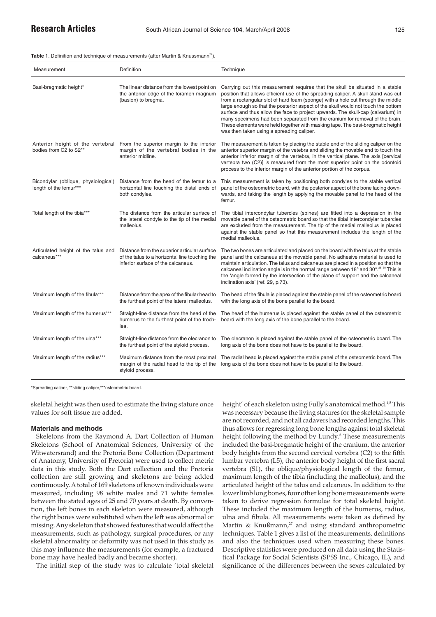**Table 1**. Definition and technique of measurements (after Martin & Knussmann<sup>27</sup>).

| Measurement                                                   | Definition                                                                                                                              | <b>Technique</b>                                                                                                                                                                                                                                                                                                                                                                                                                                                                                                                                                                                                                                |
|---------------------------------------------------------------|-----------------------------------------------------------------------------------------------------------------------------------------|-------------------------------------------------------------------------------------------------------------------------------------------------------------------------------------------------------------------------------------------------------------------------------------------------------------------------------------------------------------------------------------------------------------------------------------------------------------------------------------------------------------------------------------------------------------------------------------------------------------------------------------------------|
| Basi-bregmatic height*                                        | The linear distance from the lowest point on<br>the anterior edge of the foramen magnum<br>(basion) to bregma.                          | Carrying out this measurement requires that the skull be situated in a stable<br>position that allows efficient use of the spreading caliper. A skull stand was cut<br>from a rectangular slot of hard foam (sponge) with a hole cut through the middle<br>large enough so that the posterior aspect of the skull would not touch the bottom<br>surface and thus allow the face to project upwards. The skull-cap (calvarium) in<br>many specimens had been separated from the cranium for removal of the brain.<br>These elements were held together with masking tape. The basi-bregmatic height<br>was then taken using a spreading caliper. |
| bodies from C2 to S2**                                        | Anterior height of the vertebral From the superior margin to the inferior<br>margin of the vertebral bodies in the<br>anterior midline. | The measurement is taken by placing the stable end of the sliding caliper on the<br>anterior superior margin of the vetebra and sliding the movable end to touch the<br>anterior inferior margin of the vertebra, in the vertical plane. The axis [cervical<br>vertebra two (C2)] is measured from the most superior point on the odontoid<br>process to the inferior margin of the anterior portion of the corpus.                                                                                                                                                                                                                             |
| Bicondylar (oblique, physiological)<br>length of the femur*** | Distance from the head of the femur to a<br>horizontal line touching the distal ends of<br>both condyles.                               | This measurement is taken by positioning both condyles to the stable vertical<br>panel of the osteometric board, with the posterior aspect of the bone facing down-<br>wards, and taking the length by applying the movable panel to the head of the<br>femur.                                                                                                                                                                                                                                                                                                                                                                                  |
| Total length of the tibia***                                  | The distance from the articular surface of<br>the lateral condyle to the tip of the medial<br>malleolus.                                | The tibial intercondylar tubercles (spines) are fitted into a depression in the<br>movable panel of the osteometric board so that the tibial intercondylar tubercles<br>are excluded from the measurement. The tip of the medial malleolus is placed<br>against the stable panel so that this measurement includes the length of the<br>medial malleolus.                                                                                                                                                                                                                                                                                       |
| Articulated height of the talus and<br>calcaneus***           | Distance from the superior articular surface<br>of the talus to a horizontal line touching the<br>inferior surface of the calcaneus.    | The two bones are articulated and placed on the board with the talus at the stable<br>panel and the calcaneus at the movable panel. No adhesive material is used to<br>maintain articulation. The talus and calcaneus are placed in a position so that the<br>calcaneal inclination angle is in the normal range between 18° and 30°. <sup>28-30</sup> This is<br>the 'angle formed by the intersection of the plane of support and the calcaneal<br>inclination axis' (ref. 29, p.73).                                                                                                                                                         |
| Maximum length of the fibula***                               | Distance from the apex of the fibular head to<br>the furthest point of the lateral malleolus.                                           | The head of the fibula is placed against the stable panel of the osteometric board<br>with the long axis of the bone parallel to the board.                                                                                                                                                                                                                                                                                                                                                                                                                                                                                                     |
| Maximum length of the humerus***                              | Straight-line distance from the head of the<br>humerus to the furthest point of the troch-<br>lea.                                      | The head of the humerus is placed against the stable panel of the osteometric<br>board with the long axis of the bone parallel to the board.                                                                                                                                                                                                                                                                                                                                                                                                                                                                                                    |
| Maximum length of the ulna***                                 | Straight-line distance from the olecranon to<br>the furthest point of the styloid process.                                              | The olecranon is placed against the stable panel of the osteometric board. The<br>long axis of the bone does not have to be parallel to the board.                                                                                                                                                                                                                                                                                                                                                                                                                                                                                              |
| Maximum length of the radius***                               | Maximum distance from the most proximal<br>margin of the radial head to the tip of the<br>styloid process.                              | The radial head is placed against the stable panel of the osteometric board. The<br>long axis of the bone does not have to be parallel to the board.                                                                                                                                                                                                                                                                                                                                                                                                                                                                                            |

\*Spreading caliper, \*\*sliding caliper,\*\*\*osteometric board.

skeletal height was then used to estimate the living stature once values for soft tissue are added.

# **Materials and methods**

Skeletons from the Raymond A. Dart Collection of Human Skeletons (School of Anatomical Sciences, University of the Witwatersrand) and the Pretoria Bone Collection (Department of Anatomy, University of Pretoria) were used to collect metric data in this study. Both the Dart collection and the Pretoria collection are still growing and skeletons are being added continuously. A total of 169 skeletons of known individuals were measured, including 98 white males and 71 white females between the stated ages of 25 and 70 years at death. By convention, the left bones in each skeleton were measured, although the right bones were substituted when the left was abnormal or missing. Any skeleton that showed features that would affect the measurements, such as pathology, surgical procedures, or any skeletal abnormality or deformity was not used in this study as this may influence the measurements (for example, a fractured bone may have healed badly and became shorter).

The initial step of the study was to calculate 'total skeletal

height' of each skeleton using Fully's anatomical method.<sup>4,5</sup> This was necessary because the living statures for the skeletal sample are not recorded, and not all cadavers had recorded lengths. This thus allows for regressing long bone lengths against total skeletal height following the method by Lundy.<sup>6</sup> These measurements included the basi-bregmatic height of the cranium, the anterior body heights from the second cervical vertebra (C2) to the fifth lumbar vertebra (L5), the anterior body height of the first sacral vertebra (S1), the oblique/physiological length of the femur, maximum length of the tibia (including the malleolus), and the articulated height of the talus and calcaneus. In addition to the lower limb long bones, four other long bone measurements were taken to derive regression formulae for total skeletal height. These included the maximum length of the humerus, radius, ulna and fibula. All measurements were taken as defined by Martin & Knußmann,<sup>27</sup> and using standard anthropometric techniques. Table 1 gives a list of the measurements, definitions and also the techniques used when measuring these bones. Descriptive statistics were produced on all data using the Statistical Package for Social Scientists (SPSS Inc., Chicago, IL), and significance of the differences between the sexes calculated by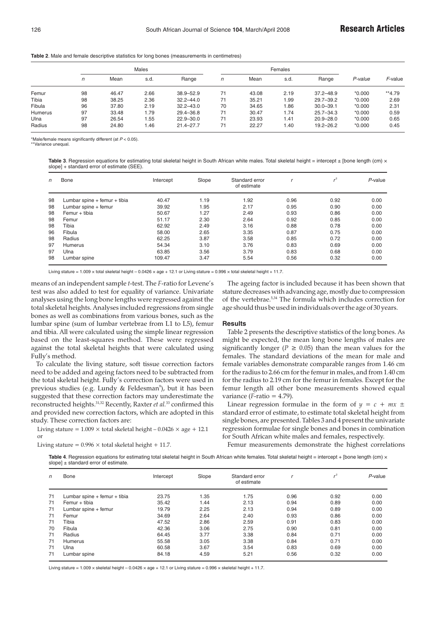|                |    | Males |      |               |    | Females |      |               |          |          |
|----------------|----|-------|------|---------------|----|---------|------|---------------|----------|----------|
|                | n  | Mean  | s.d. | Range         | n  | Mean    | s.d. | Range         | P-value  | F-value  |
| Femur          | 98 | 46.47 | 2.66 | $38.9 - 52.9$ | 71 | 43.08   | 2.19 | $37.2 - 48.9$ | $*0.000$ | $**4.79$ |
| Tibia          | 98 | 38.25 | 2.36 | $32.2 - 44.0$ | 71 | 35.21   | 1.99 | $29.7 - 39.2$ | $*0.000$ | 2.69     |
| Fibula         | 96 | 37.80 | 2.19 | $32.2 - 43.0$ | 70 | 34.65   | 1.86 | $30.0 - 39.1$ | $*0.000$ | 2.31     |
| <b>Humerus</b> | 97 | 33.48 | 1.79 | 29.4-36.8     | 71 | 30.47   | 1.74 | $25.7 - 34.3$ | $*0.000$ | 0.59     |
| Ulna           | 97 | 26.54 | .55  | $22.9 - 30.0$ | 71 | 23.93   | 1.41 | $20.9 - 28.0$ | $*0.000$ | 0.65     |
| Radius         | 98 | 24.80 | 1.46 | $21.4 - 27.7$ | 71 | 22.27   | 1.40 | $19.2 - 26.2$ | $*0.000$ | 0.45     |

**Table 2**. Male and female descriptive statistics for long bones (measurements in centimetres)

\*Male/female means significantly different (at  $P < 0.05$ ).

Variance unequal

**Table 3**. Regression equations for estimating total skeletal height in South African white males. Total skeletal height = intercept ± [bone length (cm) × slope] + standard error of estimate (SEE).

| n  | Bone                             | Intercept | Slope | Standard error<br>of estimate |      | 2    | $P$ -value |
|----|----------------------------------|-----------|-------|-------------------------------|------|------|------------|
| 98 | Lumbar spine $+$ femur $+$ tibia | 40.47     | 1.19  | 1.92                          | 0.96 | 0.92 | 0.00       |
| 98 | Lumbar spine + femur             | 39.92     | 1.95  | 2.17                          | 0.95 | 0.90 | 0.00       |
| 98 | Femur + tibia                    | 50.67     | 1.27  | 2.49                          | 0.93 | 0.86 | 0.00       |
| 98 | Femur                            | 51.17     | 2.30  | 2.64                          | 0.92 | 0.85 | 0.00       |
| 98 | Tibia                            | 62.92     | 2.49  | 3.16                          | 0.88 | 0.78 | 0.00       |
| 96 | Fibula                           | 58.00     | 2.65  | 3.35                          | 0.87 | 0.75 | 0.00       |
| 98 | Radius                           | 62.25     | 3.87  | 3.58                          | 0.85 | 0.72 | 0.00       |
| 97 | Humerus                          | 54.34     | 3.10  | 3.76                          | 0.83 | 0.69 | 0.00       |
| 97 | Ulna                             | 63.85     | 3.56  | 3.79                          | 0.83 | 0.68 | 0.00       |
| 98 | Lumbar spine                     | 109.47    | 3.47  | 5.54                          | 0.56 | 0.32 | 0.00       |

Living stature = 1.009 x total skeletal height – 0.0426 x age + 12.1 or Living stature = 0.996 x total skeletal height + 11.7.

means of an independent sample *t*-test. The *F*-ratio for Levene's test was also added to test for equality of variance. Univariate analyses using the long bone lengths were regressed against the total skeletal heights. Analyses included regressions from single bones as well as combinations from various bones, such as the lumbar spine (sum of lumbar vertebrae from L1 to L5), femur and tibia. All were calculated using the simple linear regression based on the least-squares method. These were regressed against the total skeletal heights that were calculated using Fully's method.

To calculate the living stature, soft tissue correction factors need to be added and ageing factors need to be subtracted from the total skeletal height. Fully's correction factors were used in previous studies (e.g. Lundy & Feldesman°), but it has been suggested that these correction factors may underestimate the reconstructed heights.31,32 Recently, Raxter *et al.*<sup>33</sup> confirmed this and provided new correction factors, which are adopted in this study. These correction factors are:

Living stature =  $1.009 \times$  total skeletal height –  $0.0426 \times$  age + 12.1 or

Living stature =  $0.996 \times$  total skeletal height + 11.7.

The ageing factor is included because it has been shown that stature decreases with advancing age, mostly due to compression of the vertebrae.5,34 The formula which includes correction for age should thus be used in individuals over the age of 30 years.

## **Results**

Table 2 presents the descriptive statistics of the long bones. As might be expected, the mean long bone lengths of males are significantly longer ( $P \ge 0.05$ ) than the mean values for the females. The standard deviations of the mean for male and female variables demonstrate comparable ranges from 1.46 cm for the radius to 2.66 cm for the femur in males, and from 1.40 cm for the radius to 2.19 cm for the femur in females. Except for the femur length all other bone measurements showed equal variance ( $F$ -ratio = 4.79).

Linear regression formulae in the form of  $y = c + mx \pm$ standard error of estimate, to estimate total skeletal height from single bones, are presented. Tables 3 and 4 present the univariate regression formulae for single bones and bones in combination for South African white males and females, respectively.

Femur measurements demonstrate the highest correlations

Table 4. Regression equations for estimating total skeletal height in South African white females. Total skeletal height = intercept + [bone length (cm) × slope]  $\pm$  standard error of estimate.

| n  | Bone                         | Intercept | Slope | Standard error<br>of estimate |      | $^2$ | $P$ -value |
|----|------------------------------|-----------|-------|-------------------------------|------|------|------------|
| 71 | Lumbar spine + femur + tibia | 23.75     | 1.35  | 1.75                          | 0.96 | 0.92 | 0.00       |
| 71 | Femur + tibia                | 35.42     | 1.44  | 2.13                          | 0.94 | 0.89 | 0.00       |
| 71 | Lumbar spine + femur         | 19.79     | 2.25  | 2.13                          | 0.94 | 0.89 | 0.00       |
| 71 | Femur                        | 34.69     | 2.64  | 2.40                          | 0.93 | 0.86 | 0.00       |
| 71 | Tibia                        | 47.52     | 2.86  | 2.59                          | 0.91 | 0.83 | 0.00       |
| 70 | Fibula                       | 42.36     | 3.06  | 2.75                          | 0.90 | 0.81 | 0.00       |
| 71 | Radius                       | 64.45     | 3.77  | 3.38                          | 0.84 | 0.71 | 0.00       |
| 71 | <b>Humerus</b>               | 55.58     | 3.05  | 3.38                          | 0.84 | 0.71 | 0.00       |
| 71 | Ulna                         | 60.58     | 3.67  | 3.54                          | 0.83 | 0.69 | 0.00       |
| 71 | Lumbar spine                 | 84.18     | 4.59  | 5.21                          | 0.56 | 0.32 | 0.00       |

Living stature =  $1.009 \times$  skeletal height – 0.0426  $\times$  age + 12.1 or Living stature = 0.996  $\times$  skeletal height + 11.7.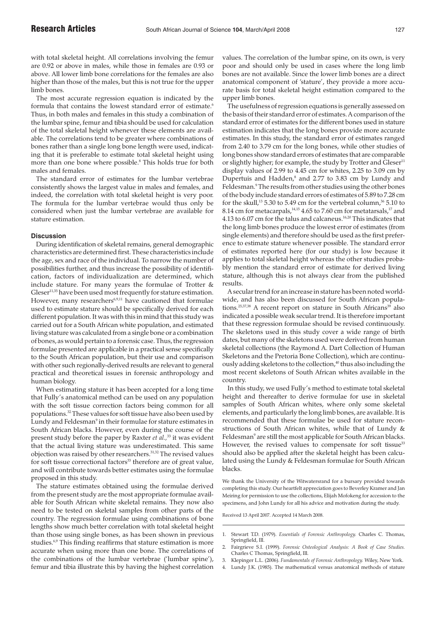with total skeletal height. All correlations involving the femur are 0.92 or above in males, while those in females are 0.93 or above. All lower limb bone correlations for the females are also higher than those of the males, but this is not true for the upper limb bones.

The most accurate regression equation is indicated by the formula that contains the lowest standard error of estimate.<sup>6</sup> Thus, in both males and females in this study a combination of the lumbar spine, femur and tibia should be used for calculation of the total skeletal height whenever these elements are available. The correlations tend to be greater where combinations of bones rather than a single long bone length were used, indicating that it is preferable to estimate total skeletal height using more than one bone where possible.<sup>8</sup> This holds true for both males and females.

The standard error of estimates for the lumbar vertebrae consistently shows the largest value in males and females, and indeed, the correlation with total skeletal height is very poor. The formula for the lumbar vertebrae would thus only be considered when just the lumbar vertebrae are available for stature estimation.

## **Discussion**

During identification of skeletal remains, general demographic characteristics are determined first. These characteristics include the age, sex and race of the individual. To narrow the number of possibilities further, and thus increase the possibility of identification, factors of individualization are determined, which include stature. For many years the formulae of Trotter &  $Gleser^{11,35}$  have been used most frequently for stature estimation. However, many researchers<sup>6,9,11</sup> have cautioned that formulae used to estimate stature should be specifically derived for each different population. It was with this in mind that this study was carried out for a South African white population, and estimated living stature was calculated from a single bone or a combination of bones, as would pertain to a forensic case. Thus, the regression formulae presented are applicable in a practical sense specifically to the South African population, but their use and comparison with other such regionally-derived results are relevant to general practical and theoretical issues in forensic anthropology and human biology.

When estimating stature it has been accepted for a long time that Fully's anatomical method can be used on any population with the soft tissue correction factors being common for all populations.32 These values for soft tissue have also been used by Lundy and Feldesman<sup>9</sup> in their formulae for stature estimates in South African blacks. However, even during the course of the present study before the paper by Raxter *et al.,*<sup>33</sup> it was evident that the actual living stature was underestimated. This same objection was raised by other researchers.<sup>31,32</sup> The revised values for soft tissue correctional factors<sup>33</sup> therefore are of great value, and will contribute towards better estimates using the formulae proposed in this study.

The stature estimates obtained using the formulae derived from the present study are the most appropriate formulae available for South African white skeletal remains. They now also need to be tested on skeletal samples from other parts of the country. The regression formulae using combinations of bone lengths show much better correlation with total skeletal height than those using single bones, as has been shown in previous studies.<sup>6,9</sup> This finding reaffirms that stature estimation is more accurate when using more than one bone. The correlations of the combinations of the lumbar vertebrae ('lumbar spine'), femur and tibia illustrate this by having the highest correlation

values. The correlation of the lumbar spine, on its own, is very poor and should only be used in cases where the long limb bones are not available. Since the lower limb bones are a direct anatomical component of 'stature', they provide a more accurate basis for total skeletal height estimation compared to the upper limb bones.

The usefulness of regression equations is generally assessed on the basis of their standard error of estimates. A comparison of the standard error of estimates for the different bones used in stature estimation indicates that the long bones provide more accurate estimates. In this study, the standard error of estimates ranged from 2.40 to 3.79 cm for the long bones, while other studies of long bones show standard errors of estimates that are comparable or slightly higher; for example, the study by Trotter and  $Gleser<sup>11</sup>$ display values of 2.99 to 4.45 cm for whites, 2.25 to 3.09 cm by Dupertuis and Hadden, $^8$  and 2.77 to 3.83 cm by Lundy and Feldesman.<sup>9</sup> The results from other studies using the other bones of the body include standard errors of estimates of 5.89 to 7.28 cm for the skull,<sup>13</sup> 5.30 to 5.49 cm for the vertebral column,<sup>36</sup> 5.10 to 8.14 cm for metacarpals, $14,15$  4.65 to 7.60 cm for metatarsals, $17$  and 4.13 to 6.07 cm for the talus and calcaneus.16,20 This indicates that the long limb bones produce the lowest error of estimates (from single elements) and therefore should be used as the first preference to estimate stature whenever possible. The standard error of estimates reported here (for our study) is low because it applies to total skeletal height whereas the other studies probably mention the standard error of estimate for derived living stature, although this is not always clear from the published results.

A secular trend for an increase in stature has been noted worldwide, and has also been discussed for South African populations.<sup>25,37,38</sup> A recent report on stature in South Africans<sup>39</sup> also indicated a possible weak secular trend. It is therefore important that these regression formulae should be revised continuously. The skeletons used in this study cover a wide range of birth dates, but many of the skeletons used were derived from human skeletal collections (the Raymond A. Dart Collection of Human Skeletons and the Pretoria Bone Collection), which are continuously adding skeletons to the collection,<sup>40</sup> thus also including the most recent skeletons of South African whites available in the country.

In this study, we used Fully's method to estimate total skeletal height and thereafter to derive formulae for use in skeletal samples of South African whites, where only some skeletal elements, and particularly the long limb bones, are available. It is recommended that these formulae be used for stature reconstructions of South African whites, while that of Lundy & Feldesman<sup>9</sup> are still the most applicable for South African blacks. However, the revised values to compensate for soft tissue<sup>33</sup> should also be applied after the skeletal height has been calculated using the Lundy & Feldesman formulae for South African blacks.

We thank the University of the Witwatersrand for a bursary provided towards completing this study. Our heartfelt appreciation goes to Beverley Kramer and Jan Meiring for permission to use the collections, Elijah Mofokeng for accession to the specimens, and John Lundy for all his advice and motivation during the study.

Received 13 April 2007. Accepted 14 March 2008.

- 3. Klepinger L.L. (2006). *Fundamentals of Forensic Anthropology.* Wiley, New York.
- 4. Lundy J.K. (1985). The mathematical versus anatomical methods of stature

<sup>1.</sup> Stewart T.D. (1979). *Essentials of Forensic Anthropology.* Charles C. Thomas, Springfield, Ill.

<sup>2.</sup> Fairgrieve S.I. (1999). *Forensic Osteological Analysis: A Book of Case Studies.* Charles C Thomas, Springfield, Ill.